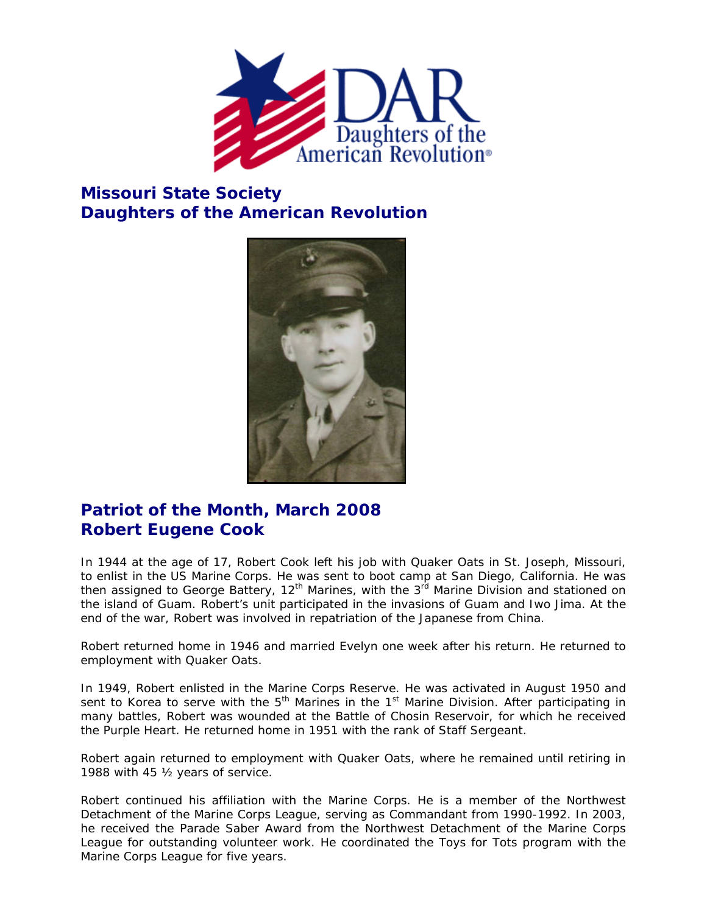

## **Missouri State Society Daughters of the American Revolution**



## **Patriot of the Month, March 2008 Robert Eugene Cook**

In 1944 at the age of 17, Robert Cook left his job with Quaker Oats in St. Joseph, Missouri, to enlist in the US Marine Corps. He was sent to boot camp at San Diego, California. He was then assigned to George Battery, 12<sup>th</sup> Marines, with the 3<sup>rd</sup> Marine Division and stationed on the island of Guam. Robert's unit participated in the invasions of Guam and Iwo Jima. At the end of the war, Robert was involved in repatriation of the Japanese from China.

Robert returned home in 1946 and married Evelyn one week after his return. He returned to employment with Quaker Oats.

In 1949, Robert enlisted in the Marine Corps Reserve. He was activated in August 1950 and sent to Korea to serve with the  $5<sup>th</sup>$  Marines in the 1<sup>st</sup> Marine Division. After participating in many battles, Robert was wounded at the Battle of Chosin Reservoir, for which he received the Purple Heart. He returned home in 1951 with the rank of Staff Sergeant.

Robert again returned to employment with Quaker Oats, where he remained until retiring in 1988 with 45 ½ years of service.

Robert continued his affiliation with the Marine Corps. He is a member of the Northwest Detachment of the Marine Corps League, serving as Commandant from 1990-1992. In 2003, he received the Parade Saber Award from the Northwest Detachment of the Marine Corps League for outstanding volunteer work. He coordinated the Toys for Tots program with the Marine Corps League for five years.